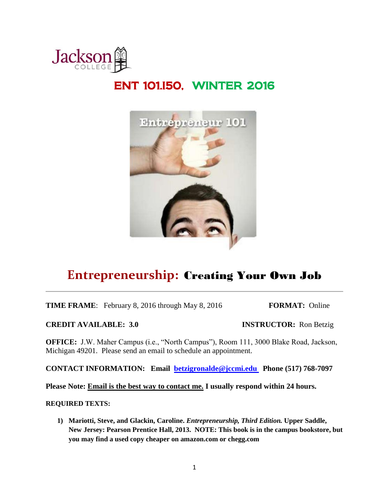

# ENT 101.I50, WINTER 2016



# **Entrepreneurship:** Creating Your Own Job

**TIME FRAME**: February 8, 2016 through May 8, 2016 **FORMAT:** Online

**CREDIT AVAILABLE: 3.0 INSTRUCTOR:** Ron Betzig

**OFFICE:** J.W. Maher Campus (i.e., "North Campus"), Room 111, 3000 Blake Road, Jackson, Michigan 49201. Please send an email to schedule an appointment.

**CONTACT INFORMATION: Email [betzigronalde@jccmi.edu](mailto:betzigronalde@jccmi.edu) Phone (517) 768-7097**

**Please Note: Email is the best way to contact me. I usually respond within 24 hours.** 

#### **REQUIRED TEXTS:**

**1) Mariotti, Steve, and Glackin, Caroline.** *Entrepreneurship, Third Edition.* **Upper Saddle, New Jersey: Pearson Prentice Hall, 2013. NOTE: This book is in the campus bookstore, but you may find a used copy cheaper on amazon.com or chegg.com**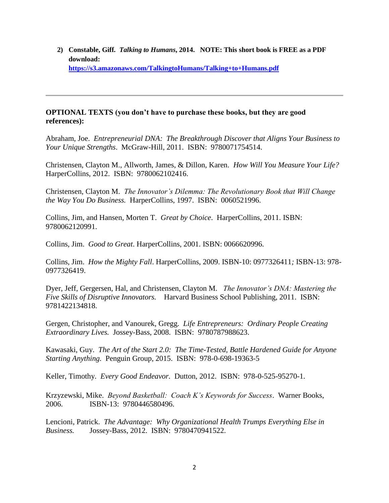**2) Constable, Giff***. Talking to Humans***, 2014. NOTE: This short book is FREE as a PDF download: <https://s3.amazonaws.com/TalkingtoHumans/Talking+to+Humans.pdf>**

### **OPTIONAL TEXTS (you don't have to purchase these books, but they are good references):**

Abraham, Joe. *Entrepreneurial DNA: The Breakthrough Discover that Aligns Your Business to Your Unique Strengths*. McGraw-Hill, 2011. ISBN: 9780071754514.

Christensen, Clayton M., Allworth, James, & Dillon, Karen. *How Will You Measure Your Life?* HarperCollins, 2012. ISBN: 9780062102416.

Christensen, Clayton M. *The Innovator's Dilemma: The Revolutionary Book that Will Change the Way You Do Business.* HarperCollins, 1997. ISBN: 0060521996.

Collins, Jim, and Hansen, Morten T. *Great by Choice*. HarperCollins, 2011. ISBN: 9780062120991.

Collins, Jim. *Good to Great*. HarperCollins, 2001. ISBN: 0066620996.

Collins, Jim. *How the Mighty Fall*. HarperCollins, 2009. ISBN-10: 0977326411*;* ISBN-13: 978- 0977326419.

Dyer, Jeff, Gergersen, Hal, and Christensen, Clayton M. *The Innovator's DNA: Mastering the Five Skills of Disruptive Innovators.* Harvard Business School Publishing, 2011. ISBN: 9781422134818.

Gergen, Christopher, and Vanourek, Gregg. *Life Entrepreneurs: Ordinary People Creating Extraordinary Lives.* Jossey-Bass, 2008. ISBN: 9780787988623.

Kawasaki, Guy. *The Art of the Start 2.0: The Time-Tested, Battle Hardened Guide for Anyone Starting Anything.* Penguin Group, 2015. ISBN: 978-0-698-19363-5

Keller, Timothy. *Every Good Endeavor.* Dutton, 2012. ISBN: 978-0-525-95270-1.

Krzyzewski, Mike. *Beyond Basketball: Coach K's Keywords for Success*. Warner Books, 2006. ISBN-13: 9780446580496.

Lencioni, Patrick. *The Advantage: Why Organizational Health Trumps Everything Else in Business.* Jossey-Bass, 2012. ISBN: 9780470941522.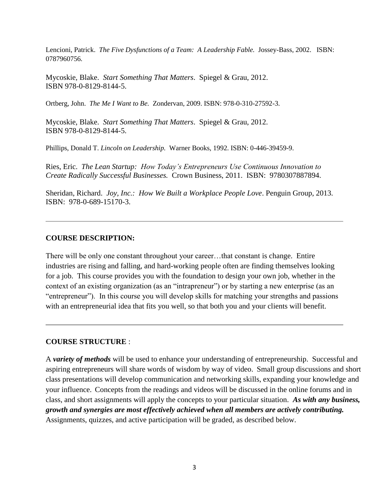Lencioni, Patrick. *The Five Dysfunctions of a Team: A Leadership Fable.* Jossey-Bass, 2002. ISBN: 0787960756.

Mycoskie, Blake. *Start Something That Matters*. Spiegel & Grau, 2012. ISBN 978-0-8129-8144-5.

Ortberg, John. *The Me I Want to Be.* Zondervan, 2009. ISBN: 978-0-310-27592-3.

Mycoskie, Blake. *Start Something That Matters*. Spiegel & Grau, 2012. ISBN 978-0-8129-8144-5.

Phillips, Donald T. *Lincoln on Leadership.* Warner Books, 1992. ISBN: 0-446-39459-9.

Ries, Eric. *The Lean Startup: How Today's Entrepreneurs Use Continuous Innovation to Create Radically Successful Businesses.* Crown Business, 2011. ISBN: 9780307887894.

Sheridan, Richard. *Joy, Inc.: How We Built a Workplace People Love*. Penguin Group, 2013. ISBN: 978-0-689-15170-3.

#### **COURSE DESCRIPTION:**

There will be only one constant throughout your career…that constant is change. Entire industries are rising and falling, and hard-working people often are finding themselves looking for a job. This course provides you with the foundation to design your own job, whether in the context of an existing organization (as an "intrapreneur") or by starting a new enterprise (as an "entrepreneur"). In this course you will develop skills for matching your strengths and passions with an entrepreneurial idea that fits you well, so that both you and your clients will benefit.

#### **COURSE STRUCTURE** :

A *variety of methods* will be used to enhance your understanding of entrepreneurship. Successful and aspiring entrepreneurs will share words of wisdom by way of video. Small group discussions and short class presentations will develop communication and networking skills, expanding your knowledge and your influence. Concepts from the readings and videos will be discussed in the online forums and in class, and short assignments will apply the concepts to your particular situation. *As with any business, growth and synergies are most effectively achieved when all members are actively contributing.*  Assignments, quizzes, and active participation will be graded, as described below.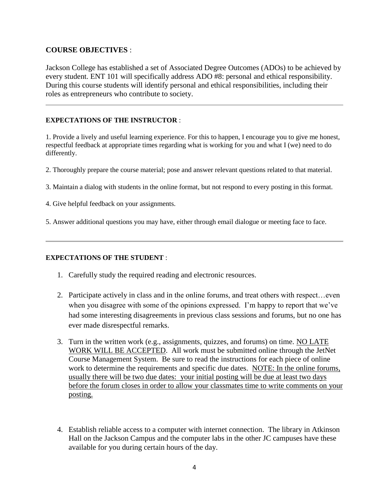### **COURSE OBJECTIVES** :

Jackson College has established a set of Associated Degree Outcomes (ADOs) to be achieved by every student. ENT 101 will specifically address ADO #8: personal and ethical responsibility. During this course students will identify personal and ethical responsibilities, including their roles as entrepreneurs who contribute to society.

### **EXPECTATIONS OF THE INSTRUCTOR** :

1. Provide a lively and useful learning experience. For this to happen, I encourage you to give me honest, respectful feedback at appropriate times regarding what is working for you and what I (we) need to do differently.

- 2. Thoroughly prepare the course material; pose and answer relevant questions related to that material.
- 3. Maintain a dialog with students in the online format, but not respond to every posting in this format.
- 4. Give helpful feedback on your assignments.
- 5. Answer additional questions you may have, either through email dialogue or meeting face to face.

#### **EXPECTATIONS OF THE STUDENT** :

- 1. Carefully study the required reading and electronic resources.
- 2. Participate actively in class and in the online forums, and treat others with respect…even when you disagree with some of the opinions expressed. I'm happy to report that we've had some interesting disagreements in previous class sessions and forums, but no one has ever made disrespectful remarks.
- 3. Turn in the written work (e.g., assignments, quizzes, and forums) on time. NO LATE WORK WILL BE ACCEPTED. All work must be submitted online through the JetNet Course Management System. Be sure to read the instructions for each piece of online work to determine the requirements and specific due dates. NOTE: In the online forums, usually there will be two due dates: your initial posting will be due at least two days before the forum closes in order to allow your classmates time to write comments on your posting.
- 4. Establish reliable access to a computer with internet connection. The library in Atkinson Hall on the Jackson Campus and the computer labs in the other JC campuses have these available for you during certain hours of the day.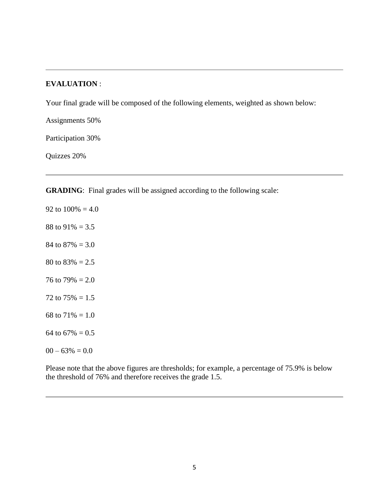### **EVALUATION** :

Your final grade will be composed of the following elements, weighted as shown below:

Assignments 50%

Participation 30%

Quizzes 20%

**GRADING**: Final grades will be assigned according to the following scale:

92 to  $100\% = 4.0$ 88 to  $91\% = 3.5$ 84 to  $87\% = 3.0$ 80 to  $83\% = 2.5$ 76 to 79% =  $2.0$ 72 to  $75\% = 1.5$ 68 to  $71\% = 1.0$ 64 to  $67\% = 0.5$  $00 - 63\% = 0.0$ 

Please note that the above figures are thresholds; for example, a percentage of 75.9% is below the threshold of 76% and therefore receives the grade 1.5.